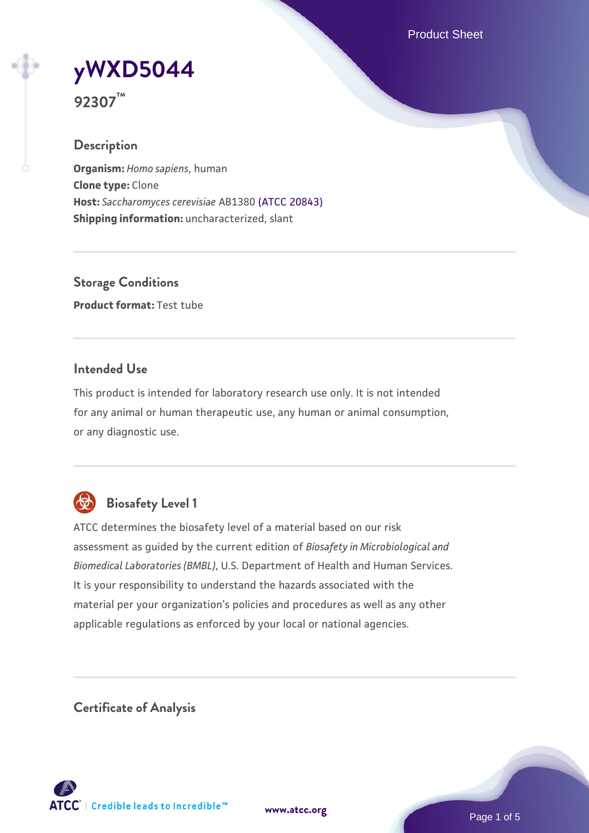Product Sheet

**[yWXD5044](https://www.atcc.org/products/92307)**

**92307™**

### **Description**

**Organism:** *Homo sapiens*, human **Clone type:** Clone **Host:** *Saccharomyces cerevisiae* AB1380 [\(ATCC 20843\)](https://www.atcc.org/products/20843) **Shipping information:** uncharacterized, slant

**Storage Conditions Product format:** Test tube

### **Intended Use**

This product is intended for laboratory research use only. It is not intended for any animal or human therapeutic use, any human or animal consumption, or any diagnostic use.



# **Biosafety Level 1**

ATCC determines the biosafety level of a material based on our risk assessment as guided by the current edition of *Biosafety in Microbiological and Biomedical Laboratories (BMBL)*, U.S. Department of Health and Human Services. It is your responsibility to understand the hazards associated with the material per your organization's policies and procedures as well as any other applicable regulations as enforced by your local or national agencies.

**Certificate of Analysis**

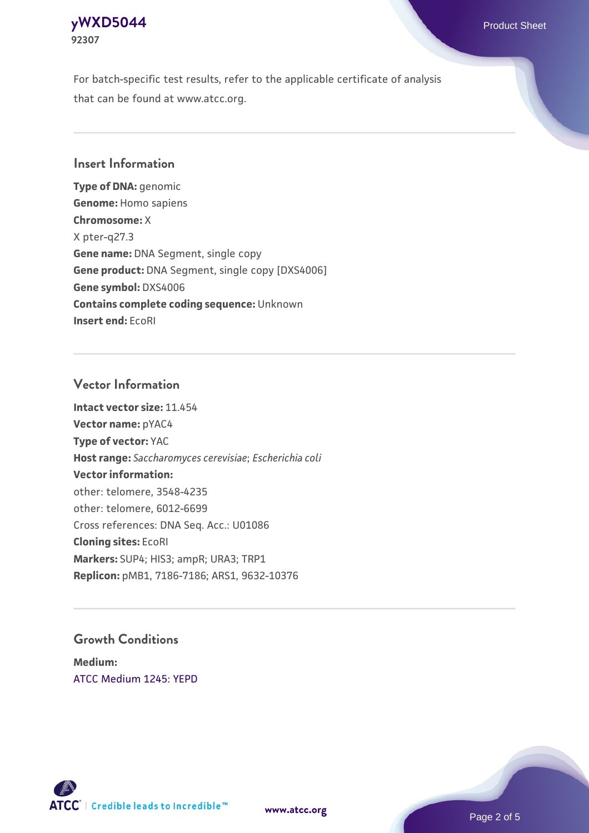### **[yWXD5044](https://www.atcc.org/products/92307)** Product Sheet **92307**

For batch-specific test results, refer to the applicable certificate of analysis that can be found at www.atcc.org.

### **Insert Information**

**Type of DNA:** genomic **Genome:** Homo sapiens **Chromosome:** X X pter-q27.3 **Gene name:** DNA Segment, single copy **Gene product:** DNA Segment, single copy [DXS4006] **Gene symbol:** DXS4006 **Contains complete coding sequence:** Unknown **Insert end:** EcoRI

### **Vector Information**

**Intact vector size:** 11.454 **Vector name:** pYAC4 **Type of vector:** YAC **Host range:** *Saccharomyces cerevisiae*; *Escherichia coli* **Vector information:** other: telomere, 3548-4235 other: telomere, 6012-6699 Cross references: DNA Seq. Acc.: U01086 **Cloning sites:** EcoRI **Markers:** SUP4; HIS3; ampR; URA3; TRP1 **Replicon:** pMB1, 7186-7186; ARS1, 9632-10376

## **Growth Conditions**

**Medium:**  [ATCC Medium 1245: YEPD](https://www.atcc.org/-/media/product-assets/documents/microbial-media-formulations/1/2/4/5/atcc-medium-1245.pdf?rev=705ca55d1b6f490a808a965d5c072196)



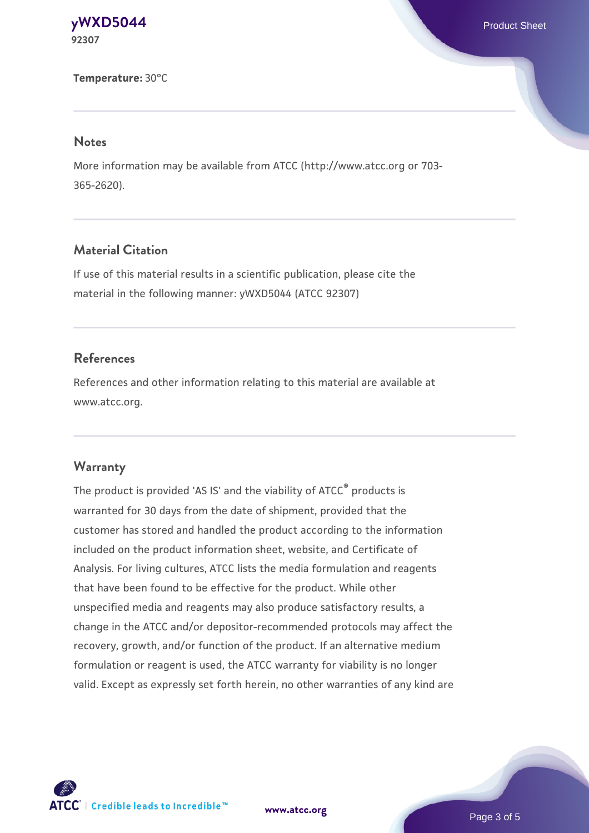#### **[yWXD5044](https://www.atcc.org/products/92307)** Product Sheet **92307**

#### **Temperature:** 30°C

#### **Notes**

More information may be available from ATCC (http://www.atcc.org or 703- 365-2620).

### **Material Citation**

If use of this material results in a scientific publication, please cite the material in the following manner: yWXD5044 (ATCC 92307)

### **References**

References and other information relating to this material are available at www.atcc.org.

#### **Warranty**

The product is provided 'AS IS' and the viability of ATCC® products is warranted for 30 days from the date of shipment, provided that the customer has stored and handled the product according to the information included on the product information sheet, website, and Certificate of Analysis. For living cultures, ATCC lists the media formulation and reagents that have been found to be effective for the product. While other unspecified media and reagents may also produce satisfactory results, a change in the ATCC and/or depositor-recommended protocols may affect the recovery, growth, and/or function of the product. If an alternative medium formulation or reagent is used, the ATCC warranty for viability is no longer valid. Except as expressly set forth herein, no other warranties of any kind are



**[www.atcc.org](http://www.atcc.org)**

Page 3 of 5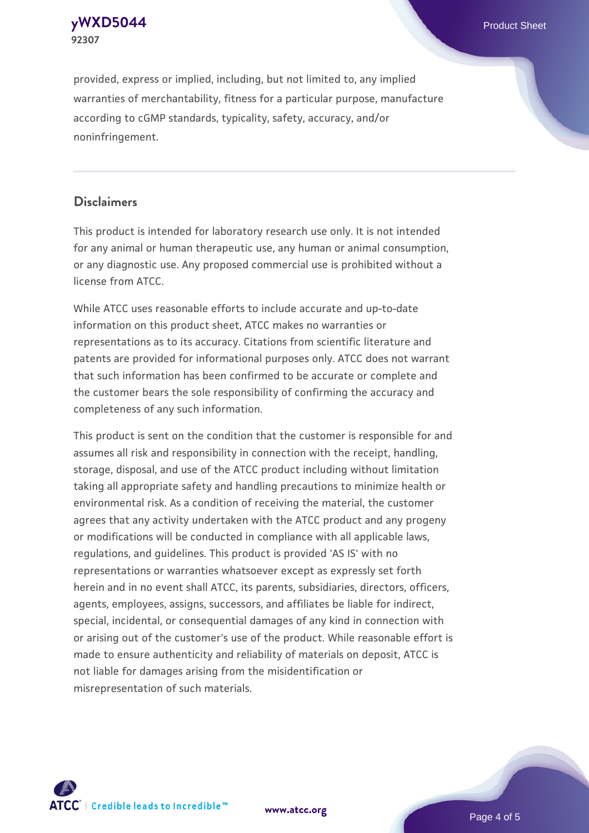

provided, express or implied, including, but not limited to, any implied warranties of merchantability, fitness for a particular purpose, manufacture according to cGMP standards, typicality, safety, accuracy, and/or noninfringement.

### **Disclaimers**

This product is intended for laboratory research use only. It is not intended for any animal or human therapeutic use, any human or animal consumption, or any diagnostic use. Any proposed commercial use is prohibited without a license from ATCC.

While ATCC uses reasonable efforts to include accurate and up-to-date information on this product sheet, ATCC makes no warranties or representations as to its accuracy. Citations from scientific literature and patents are provided for informational purposes only. ATCC does not warrant that such information has been confirmed to be accurate or complete and the customer bears the sole responsibility of confirming the accuracy and completeness of any such information.

This product is sent on the condition that the customer is responsible for and assumes all risk and responsibility in connection with the receipt, handling, storage, disposal, and use of the ATCC product including without limitation taking all appropriate safety and handling precautions to minimize health or environmental risk. As a condition of receiving the material, the customer agrees that any activity undertaken with the ATCC product and any progeny or modifications will be conducted in compliance with all applicable laws, regulations, and guidelines. This product is provided 'AS IS' with no representations or warranties whatsoever except as expressly set forth herein and in no event shall ATCC, its parents, subsidiaries, directors, officers, agents, employees, assigns, successors, and affiliates be liable for indirect, special, incidental, or consequential damages of any kind in connection with or arising out of the customer's use of the product. While reasonable effort is made to ensure authenticity and reliability of materials on deposit, ATCC is not liable for damages arising from the misidentification or misrepresentation of such materials.



**[www.atcc.org](http://www.atcc.org)**

Page 4 of 5